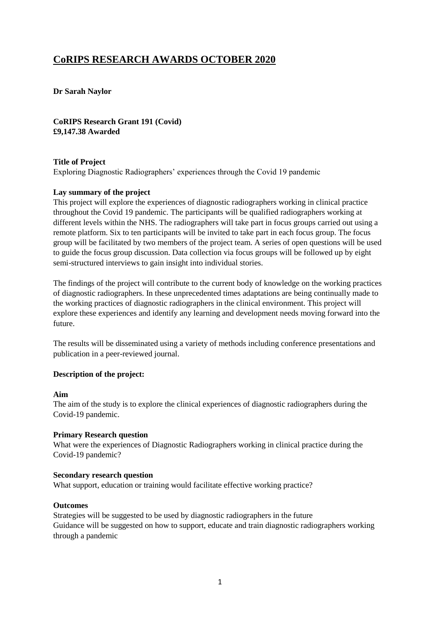# **CoRIPS RESEARCH AWARDS OCTOBER 2020**

**Dr Sarah Naylor**

**CoRIPS Research Grant 191 (Covid) £9,147.38 Awarded**

# **Title of Project**

Exploring Diagnostic Radiographers' experiences through the Covid 19 pandemic

## **Lay summary of the project**

This project will explore the experiences of diagnostic radiographers working in clinical practice throughout the Covid 19 pandemic. The participants will be qualified radiographers working at different levels within the NHS. The radiographers will take part in focus groups carried out using a remote platform. Six to ten participants will be invited to take part in each focus group. The focus group will be facilitated by two members of the project team. A series of open questions will be used to guide the focus group discussion. Data collection via focus groups will be followed up by eight semi-structured interviews to gain insight into individual stories.

The findings of the project will contribute to the current body of knowledge on the working practices of diagnostic radiographers. In these unprecedented times adaptations are being continually made to the working practices of diagnostic radiographers in the clinical environment. This project will explore these experiences and identify any learning and development needs moving forward into the future.

The results will be disseminated using a variety of methods including conference presentations and publication in a peer-reviewed journal.

#### **Description of the project:**

#### **Aim**

The aim of the study is to explore the clinical experiences of diagnostic radiographers during the Covid-19 pandemic.

#### **Primary Research question**

What were the experiences of Diagnostic Radiographers working in clinical practice during the Covid-19 pandemic?

#### **Secondary research question**

What support, education or training would facilitate effective working practice?

## **Outcomes**

Strategies will be suggested to be used by diagnostic radiographers in the future Guidance will be suggested on how to support, educate and train diagnostic radiographers working through a pandemic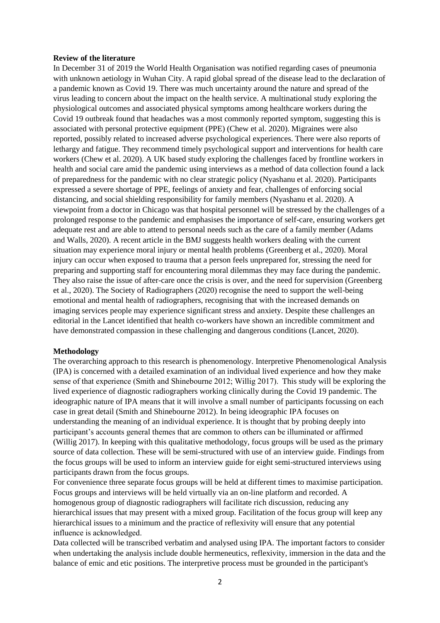#### **Review of the literature**

In December 31 of 2019 the World Health Organisation was notified regarding cases of pneumonia with unknown aetiology in Wuhan City. A rapid global spread of the disease lead to the declaration of a pandemic known as Covid 19. There was much uncertainty around the nature and spread of the virus leading to concern about the impact on the health service. A multinational study exploring the physiological outcomes and associated physical symptoms among healthcare workers during the Covid 19 outbreak found that headaches was a most commonly reported symptom, suggesting this is associated with personal protective equipment (PPE) (Chew et al. 2020). Migraines were also reported, possibly related to increased adverse psychological experiences. There were also reports of lethargy and fatigue. They recommend timely psychological support and interventions for health care workers (Chew et al. 2020). A UK based study exploring the challenges faced by frontline workers in health and social care amid the pandemic using interviews as a method of data collection found a lack of preparedness for the pandemic with no clear strategic policy (Nyashanu et al. 2020). Participants expressed a severe shortage of PPE, feelings of anxiety and fear, challenges of enforcing social distancing, and social shielding responsibility for family members (Nyashanu et al. 2020). A viewpoint from a doctor in Chicago was that hospital personnel will be stressed by the challenges of a prolonged response to the pandemic and emphasises the importance of self-care, ensuring workers get adequate rest and are able to attend to personal needs such as the care of a family member (Adams and Walls, 2020). A recent article in the BMJ suggests health workers dealing with the current situation may experience moral injury or mental health problems (Greenberg et al., 2020). Moral injury can occur when exposed to trauma that a person feels unprepared for, stressing the need for preparing and supporting staff for encountering moral dilemmas they may face during the pandemic. They also raise the issue of after-care once the crisis is over, and the need for supervision (Greenberg et al., 2020). The Society of Radiographers (2020) recognise the need to support the well-being emotional and mental health of radiographers, recognising that with the increased demands on imaging services people may experience significant stress and anxiety. Despite these challenges an editorial in the Lancet identified that health co-workers have shown an incredible commitment and have demonstrated compassion in these challenging and dangerous conditions (Lancet, 2020).

#### **Methodology**

The overarching approach to this research is phenomenology. Interpretive Phenomenological Analysis (IPA) is concerned with a detailed examination of an individual lived experience and how they make sense of that experience (Smith and Shinebourne 2012; Willig 2017).  This study will be exploring the lived experience of diagnostic radiographers working clinically during the Covid 19 pandemic. The ideographic nature of IPA means that it will involve a small number of participants focussing on each case in great detail (Smith and Shinebourne 2012). In being ideographic IPA focuses on understanding the meaning of an individual experience. It is thought that by probing deeply into participant's accounts general themes that are common to others can be illuminated or affirmed (Willig 2017). In keeping with this qualitative methodology, focus groups will be used as the primary source of data collection. These will be semi-structured with use of an interview guide. Findings from the focus groups will be used to inform an interview guide for eight semi-structured interviews using participants drawn from the focus groups.

For convenience three separate focus groups will be held at different times to maximise participation. Focus groups and interviews will be held virtually via an on-line platform and recorded. A homogenous group of diagnostic radiographers will facilitate rich discussion, reducing any hierarchical issues that may present with a mixed group. Facilitation of the focus group will keep any hierarchical issues to a minimum and the practice of reflexivity will ensure that any potential influence is acknowledged. 

Data collected will be transcribed verbatim and analysed using IPA. The important factors to consider when undertaking the analysis include double hermeneutics, reflexivity, immersion in the data and the balance of emic and etic positions. The interpretive process must be grounded in the participant's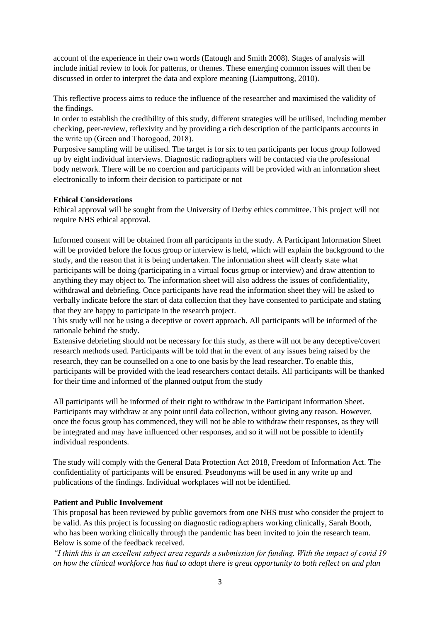account of the experience in their own words (Eatough and Smith 2008). Stages of analysis will include initial review to look for patterns, or themes. These emerging common issues will then be discussed in order to interpret the data and explore meaning (Liamputtong, 2010).

This reflective process aims to reduce the influence of the researcher and maximised the validity of the findings. 

In order to establish the credibility of this study, different strategies will be utilised, including member checking, peer-review, reflexivity and by providing a rich description of the participants accounts in the write up (Green and Thorogood, 2018). 

Purposive sampling will be utilised. The target is for six to ten participants per focus group followed up by eight individual interviews. Diagnostic radiographers will be contacted via the professional body network. There will be no coercion and participants will be provided with an information sheet electronically to inform their decision to participate or not

## **Ethical Considerations**

Ethical approval will be sought from the University of Derby ethics committee. This project will not require NHS ethical approval.

Informed consent will be obtained from all participants in the study. A Participant Information Sheet will be provided before the focus group or interview is held, which will explain the background to the study, and the reason that it is being undertaken. The information sheet will clearly state what participants will be doing (participating in a virtual focus group or interview) and draw attention to anything they may object to. The information sheet will also address the issues of confidentiality, withdrawal and debriefing. Once participants have read the information sheet they will be asked to verbally indicate before the start of data collection that they have consented to participate and stating that they are happy to participate in the research project.

This study will not be using a deceptive or covert approach. All participants will be informed of the rationale behind the study.

Extensive debriefing should not be necessary for this study, as there will not be any deceptive/covert research methods used. Participants will be told that in the event of any issues being raised by the research, they can be counselled on a one to one basis by the lead researcher. To enable this, participants will be provided with the lead researchers contact details. All participants will be thanked for their time and informed of the planned output from the study

All participants will be informed of their right to withdraw in the Participant Information Sheet. Participants may withdraw at any point until data collection, without giving any reason. However, once the focus group has commenced, they will not be able to withdraw their responses, as they will be integrated and may have influenced other responses, and so it will not be possible to identify individual respondents.

The study will comply with the General Data Protection Act 2018, Freedom of Information Act. The confidentiality of participants will be ensured. Pseudonyms will be used in any write up and publications of the findings. Individual workplaces will not be identified.

# **Patient and Public Involvement**

This proposal has been reviewed by public governors from one NHS trust who consider the project to be valid. As this project is focussing on diagnostic radiographers working clinically, Sarah Booth, who has been working clinically through the pandemic has been invited to join the research team. Below is some of the feedback received.

*"I think this is an excellent subject area regards a submission for funding. With the impact of covid 19 on how the clinical workforce has had to adapt there is great opportunity to both reflect on and plan*